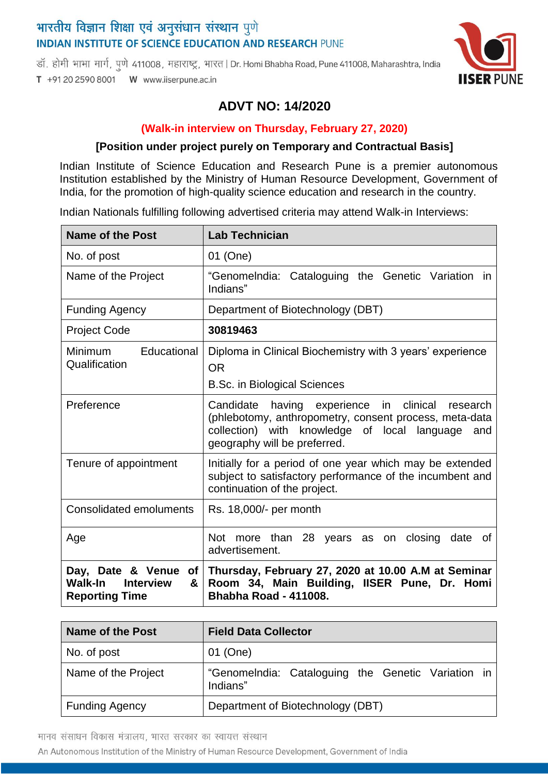# भारतीय विज्ञान शिक्षा एवं अनुसंधान संस्थान पुणे **INDIAN INSTITUTE OF SCIENCE EDUCATION AND RESEARCH PUNE**

डॉ. होमी भाभा मार्ग, पूणे 411008, महाराष्ट्र, भारत | Dr. Homi Bhabha Road, Pune 411008, Maharashtra, India T +91 20 2590 8001 W www.iiserpune.ac.in



## **ADVT NO: 14/2020**

#### **(Walk-in interview on Thursday, February 27, 2020)**

#### **[Position under project purely on Temporary and Contractual Basis]**

Indian Institute of Science Education and Research Pune is a premier autonomous Institution established by the Ministry of Human Resource Development, Government of India, for the promotion of high-quality science education and research in the country.

Indian Nationals fulfilling following advertised criteria may attend Walk-in Interviews:

| <b>Name of the Post</b>                                   | <b>Lab Technician</b>                                                                                                                                                                                |
|-----------------------------------------------------------|------------------------------------------------------------------------------------------------------------------------------------------------------------------------------------------------------|
| No. of post                                               | 01 (One)                                                                                                                                                                                             |
| Name of the Project                                       | "Genomelndia: Cataloguing the Genetic Variation in<br>Indians"                                                                                                                                       |
| <b>Funding Agency</b>                                     | Department of Biotechnology (DBT)                                                                                                                                                                    |
| <b>Project Code</b>                                       | 30819463                                                                                                                                                                                             |
| <b>Minimum</b><br>Educational<br>Qualification            | Diploma in Clinical Biochemistry with 3 years' experience<br><b>OR</b><br><b>B.Sc. in Biological Sciences</b>                                                                                        |
| Preference                                                | Candidate having experience in clinical<br>research<br>(phlebotomy, anthropometry, consent process, meta-data<br>collection) with knowledge of local language<br>and<br>geography will be preferred. |
| Tenure of appointment                                     | Initially for a period of one year which may be extended<br>subject to satisfactory performance of the incumbent and<br>continuation of the project.                                                 |
| <b>Consolidated emoluments</b>                            | Rs. 18,000/- per month                                                                                                                                                                               |
| Age                                                       | Not more than 28 years as on closing<br>date of<br>advertisement.                                                                                                                                    |
| Walk-In<br><b>Interview</b><br>&<br><b>Reporting Time</b> | Day, Date & Venue of Thursday, February 27, 2020 at 10.00 A.M at Seminar<br>Room 34, Main Building, IISER Pune, Dr. Homi<br><b>Bhabha Road - 411008.</b>                                             |

| Name of the Post      | <b>Field Data Collector</b>                                    |
|-----------------------|----------------------------------------------------------------|
| No. of post           | 01 (One)                                                       |
| Name of the Project   | "Genomelndia: Cataloguing the Genetic Variation in<br>Indians" |
| <b>Funding Agency</b> | Department of Biotechnology (DBT)                              |

मानव संसाधन विकास मंत्रालय, भारत सरकार का स्वायत्त संस्थान

An Autonomous Institution of the Ministry of Human Resource Development, Government of India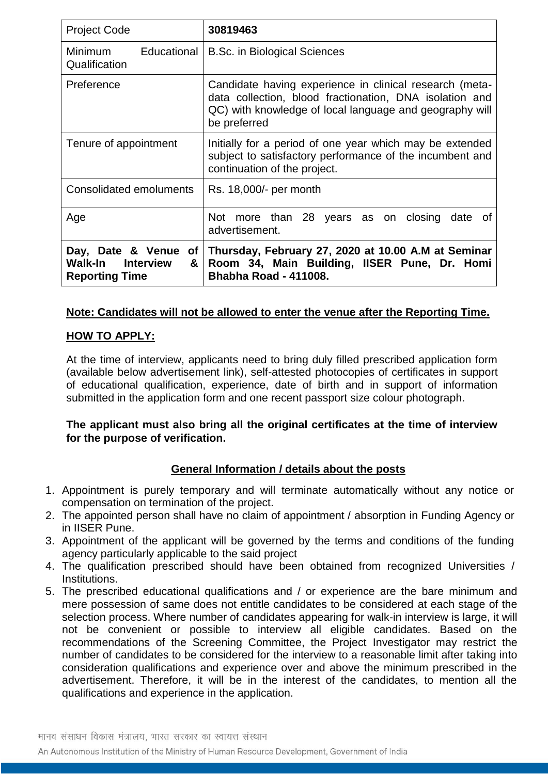| <b>Project Code</b>                                                            | 30819463                                                                                                                                                                                      |
|--------------------------------------------------------------------------------|-----------------------------------------------------------------------------------------------------------------------------------------------------------------------------------------------|
| <b>Minimum</b><br>Qualification                                                | Educational   B.Sc. in Biological Sciences                                                                                                                                                    |
| Preference                                                                     | Candidate having experience in clinical research (meta-<br>data collection, blood fractionation, DNA isolation and<br>QC) with knowledge of local language and geography will<br>be preferred |
| Tenure of appointment                                                          | Initially for a period of one year which may be extended<br>subject to satisfactory performance of the incumbent and<br>continuation of the project.                                          |
| <b>Consolidated emoluments</b>                                                 | Rs. 18,000/- per month                                                                                                                                                                        |
| Age                                                                            | Not more than 28 years as on closing<br>date of<br>advertisement.                                                                                                                             |
| Day, Date & Venue<br>Walk-In<br><b>Interview</b><br>&<br><b>Reporting Time</b> | of   Thursday, February 27, 2020 at 10.00 A.M at Seminar<br>Room 34, Main Building, IISER Pune, Dr. Homi<br><b>Bhabha Road - 411008.</b>                                                      |

### **Note: Candidates will not be allowed to enter the venue after the Reporting Time.**

#### **HOW TO APPLY:**

At the time of interview, applicants need to bring duly filled prescribed application form (available below advertisement link), self-attested photocopies of certificates in support of educational qualification, experience, date of birth and in support of information submitted in the application form and one recent passport size colour photograph.

### **The applicant must also bring all the original certificates at the time of interview for the purpose of verification.**

## **General Information / details about the posts**

- 1. Appointment is purely temporary and will terminate automatically without any notice or compensation on termination of the project.
- 2. The appointed person shall have no claim of appointment / absorption in Funding Agency or in IISER Pune.
- 3. Appointment of the applicant will be governed by the terms and conditions of the funding agency particularly applicable to the said project
- 4. The qualification prescribed should have been obtained from recognized Universities / **Institutions**
- 5. The prescribed educational qualifications and / or experience are the bare minimum and mere possession of same does not entitle candidates to be considered at each stage of the selection process. Where number of candidates appearing for walk-in interview is large, it will not be convenient or possible to interview all eligible candidates. Based on the recommendations of the Screening Committee, the Project Investigator may restrict the number of candidates to be considered for the interview to a reasonable limit after taking into consideration qualifications and experience over and above the minimum prescribed in the advertisement. Therefore, it will be in the interest of the candidates, to mention all the qualifications and experience in the application.